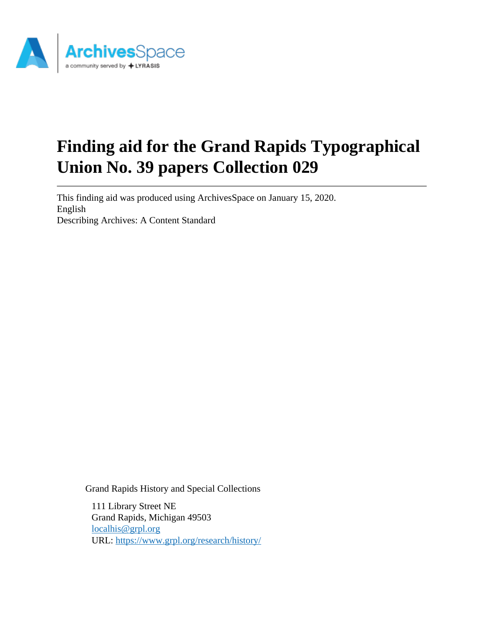

# **Finding aid for the Grand Rapids Typographical Union No. 39 papers Collection 029**

This finding aid was produced using ArchivesSpace on January 15, 2020. English Describing Archives: A Content Standard

Grand Rapids History and Special Collections

111 Library Street NE Grand Rapids, Michigan 49503 [localhis@grpl.org](mailto:localhis@grpl.org) URL:<https://www.grpl.org/research/history/>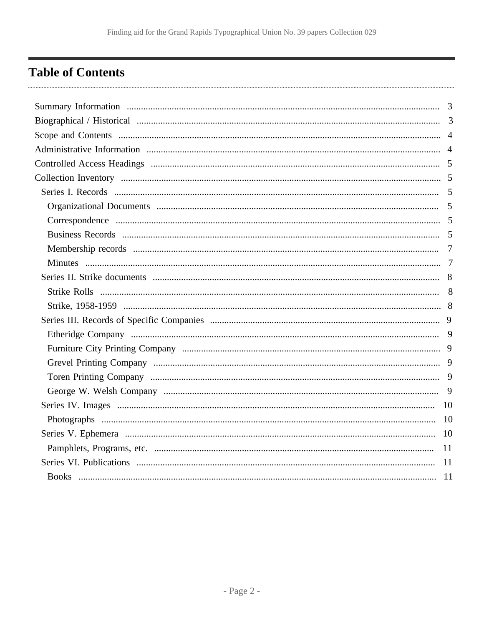# <span id="page-1-0"></span>**Table of Contents**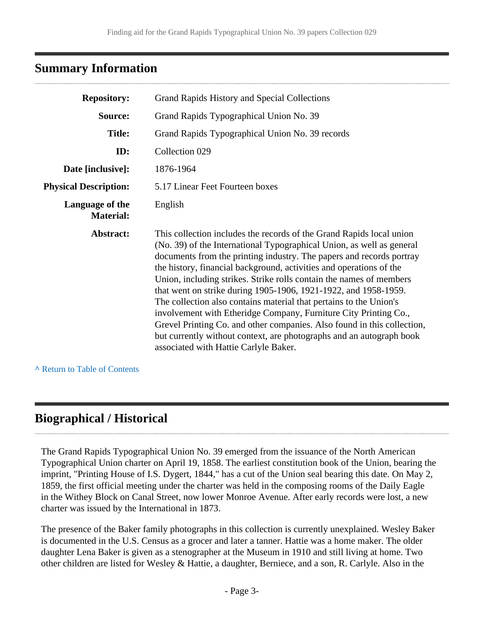## <span id="page-2-0"></span>**Summary Information**

| <b>Repository:</b>                  | Grand Rapids History and Special Collections                                                                                                                                                                                                                                                                                                                                                                                                                                                                                                                                                                                                                                                                                                                                 |
|-------------------------------------|------------------------------------------------------------------------------------------------------------------------------------------------------------------------------------------------------------------------------------------------------------------------------------------------------------------------------------------------------------------------------------------------------------------------------------------------------------------------------------------------------------------------------------------------------------------------------------------------------------------------------------------------------------------------------------------------------------------------------------------------------------------------------|
| Source:                             | Grand Rapids Typographical Union No. 39                                                                                                                                                                                                                                                                                                                                                                                                                                                                                                                                                                                                                                                                                                                                      |
| <b>Title:</b>                       | Grand Rapids Typographical Union No. 39 records                                                                                                                                                                                                                                                                                                                                                                                                                                                                                                                                                                                                                                                                                                                              |
| ID:                                 | Collection 029                                                                                                                                                                                                                                                                                                                                                                                                                                                                                                                                                                                                                                                                                                                                                               |
| Date [inclusive]:                   | 1876-1964                                                                                                                                                                                                                                                                                                                                                                                                                                                                                                                                                                                                                                                                                                                                                                    |
| <b>Physical Description:</b>        | 5.17 Linear Feet Fourteen boxes                                                                                                                                                                                                                                                                                                                                                                                                                                                                                                                                                                                                                                                                                                                                              |
| Language of the<br><b>Material:</b> | English                                                                                                                                                                                                                                                                                                                                                                                                                                                                                                                                                                                                                                                                                                                                                                      |
| Abstract:                           | This collection includes the records of the Grand Rapids local union<br>(No. 39) of the International Typographical Union, as well as general<br>documents from the printing industry. The papers and records portray<br>the history, financial background, activities and operations of the<br>Union, including strikes. Strike rolls contain the names of members<br>that went on strike during 1905-1906, 1921-1922, and 1958-1959.<br>The collection also contains material that pertains to the Union's<br>involvement with Etheridge Company, Furniture City Printing Co.,<br>Grevel Printing Co. and other companies. Also found in this collection,<br>but currently without context, are photographs and an autograph book<br>associated with Hattie Carlyle Baker. |

**^** [Return to Table of Contents](#page-1-0)

# <span id="page-2-1"></span>**Biographical / Historical**

The Grand Rapids Typographical Union No. 39 emerged from the issuance of the North American Typographical Union charter on April 19, 1858. The earliest constitution book of the Union, bearing the imprint, "Printing House of I.S. Dygert, 1844," has a cut of the Union seal bearing this date. On May 2, 1859, the first official meeting under the charter was held in the composing rooms of the Daily Eagle in the Withey Block on Canal Street, now lower Monroe Avenue. After early records were lost, a new charter was issued by the International in 1873.

The presence of the Baker family photographs in this collection is currently unexplained. Wesley Baker is documented in the U.S. Census as a grocer and later a tanner. Hattie was a home maker. The older daughter Lena Baker is given as a stenographer at the Museum in 1910 and still living at home. Two other children are listed for Wesley & Hattie, a daughter, Berniece, and a son, R. Carlyle. Also in the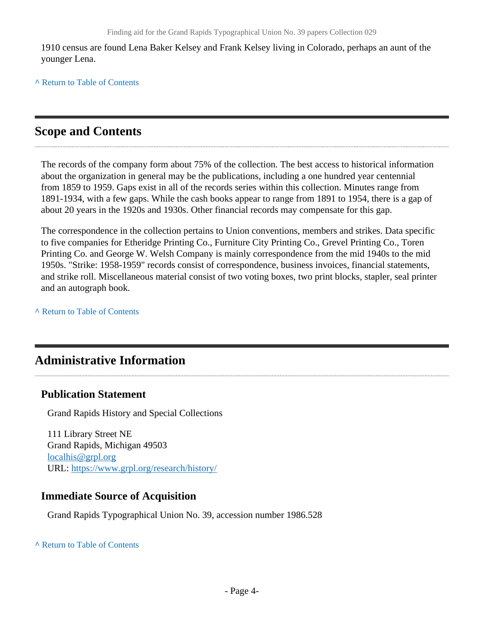1910 census are found Lena Baker Kelsey and Frank Kelsey living in Colorado, perhaps an aunt of the younger Lena.

**^** [Return to Table of Contents](#page-1-0)

## <span id="page-3-0"></span>**Scope and Contents**

The records of the company form about 75% of the collection. The best access to historical information about the organization in general may be the publications, including a one hundred year centennial from 1859 to 1959. Gaps exist in all of the records series within this collection. Minutes range from 1891-1934, with a few gaps. While the cash books appear to range from 1891 to 1954, there is a gap of about 20 years in the 1920s and 1930s. Other financial records may compensate for this gap.

The correspondence in the collection pertains to Union conventions, members and strikes. Data specific to five companies for Etheridge Printing Co., Furniture City Printing Co., Grevel Printing Co., Toren Printing Co. and George W. Welsh Company is mainly correspondence from the mid 1940s to the mid 1950s. "Strike: 1958-1959" records consist of correspondence, business invoices, financial statements, and strike roll. Miscellaneous material consist of two voting boxes, two print blocks, stapler, seal printer and an autograph book.

**^** [Return to Table of Contents](#page-1-0)

# <span id="page-3-1"></span>**Administrative Information**

## **Publication Statement**

Grand Rapids History and Special Collections

111 Library Street NE Grand Rapids, Michigan 49503 [localhis@grpl.org](mailto:localhis@grpl.org) URL:<https://www.grpl.org/research/history/>

## **Immediate Source of Acquisition**

Grand Rapids Typographical Union No. 39, accession number 1986.528

**^** [Return to Table of Contents](#page-1-0)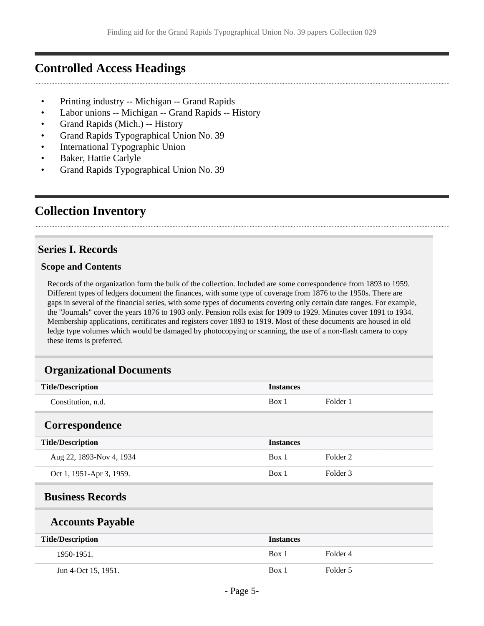## <span id="page-4-0"></span>**Controlled Access Headings**

- Printing industry -- Michigan -- Grand Rapids
- Labor unions -- Michigan -- Grand Rapids -- History
- Grand Rapids (Mich.) -- History
- Grand Rapids Typographical Union No. 39
- International Typographic Union
- Baker, Hattie Carlyle
- Grand Rapids Typographical Union No. 39

## <span id="page-4-1"></span>**Collection Inventory**

## <span id="page-4-2"></span>**Series I. Records**

#### **Scope and Contents**

Records of the organization form the bulk of the collection. Included are some correspondence from 1893 to 1959. Different types of ledgers document the finances, with some type of coverage from 1876 to the 1950s. There are gaps in several of the financial series, with some types of documents covering only certain date ranges. For example, the "Journals" cover the years 1876 to 1903 only. Pension rolls exist for 1909 to 1929. Minutes cover 1891 to 1934. Membership applications, certificates and registers cover 1893 to 1919. Most of these documents are housed in old ledge type volumes which would be damaged by photocopying or scanning, the use of a non-flash camera to copy these items is preferred.

#### <span id="page-4-3"></span>**Organizational Documents**

<span id="page-4-5"></span><span id="page-4-4"></span>

| <b>Title/Description</b> | <b>Instances</b> |          |
|--------------------------|------------------|----------|
| Constitution, n.d.       | Box 1            | Folder 1 |
| Correspondence           |                  |          |
| <b>Title/Description</b> | <b>Instances</b> |          |
| Aug 22, 1893-Nov 4, 1934 | Box 1            | Folder 2 |
| Oct 1, 1951-Apr 3, 1959. | Box 1            | Folder 3 |
| <b>Business Records</b>  |                  |          |
| <b>Accounts Payable</b>  |                  |          |
| <b>Title/Description</b> | <b>Instances</b> |          |
| 1950-1951.               | Box 1            | Folder 4 |
| Jun 4-Oct 15, 1951.      | Box 1            | Folder 5 |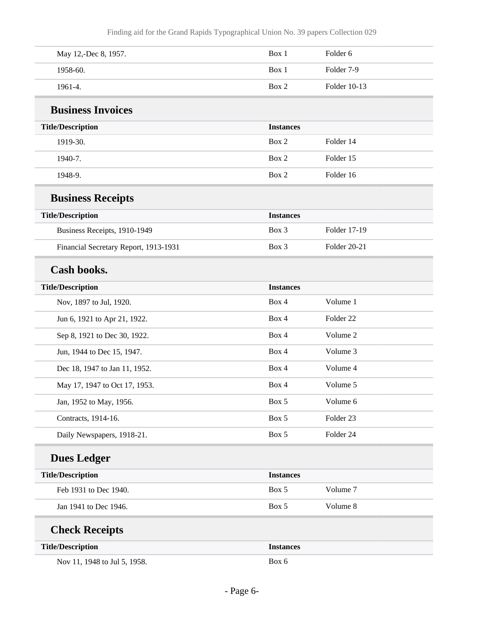| May 12,-Dec 8, 1957.                  | Box 1            | Folder 6             |  |
|---------------------------------------|------------------|----------------------|--|
| 1958-60.                              | Box 1            | Folder 7-9           |  |
| 1961-4.                               | Box 2            | Folder 10-13         |  |
| <b>Business Invoices</b>              |                  |                      |  |
| <b>Title/Description</b>              | <b>Instances</b> |                      |  |
| 1919-30.                              | Box 2            | Folder 14            |  |
| 1940-7.                               | Box 2            | Folder 15            |  |
| 1948-9.                               | Box 2            | Folder 16            |  |
| <b>Business Receipts</b>              |                  |                      |  |
| <b>Title/Description</b>              | <b>Instances</b> |                      |  |
| Business Receipts, 1910-1949          | Box 3            | Folder 17-19         |  |
| Financial Secretary Report, 1913-1931 | Box 3            | Folder 20-21         |  |
| <b>Cash books.</b>                    |                  |                      |  |
| <b>Title/Description</b>              | <b>Instances</b> |                      |  |
| Nov, 1897 to Jul, 1920.               | Box 4            | Volume 1             |  |
| Jun 6, 1921 to Apr 21, 1922.          | Box 4            | Folder <sub>22</sub> |  |
| Sep 8, 1921 to Dec 30, 1922.          | Box 4            | Volume 2             |  |
| Jun, 1944 to Dec 15, 1947.            | Box 4            | Volume 3             |  |
| Dec 18, 1947 to Jan 11, 1952.         | Box 4            | Volume 4             |  |
| May 17, 1947 to Oct 17, 1953.         | Box 4            | Volume 5             |  |
| Jan, 1952 to May, 1956.               | Box 5            | Volume 6             |  |
| Contracts, 1914-16.                   | Box 5            | Folder 23            |  |
| Daily Newspapers, 1918-21.            | Box 5            | Folder 24            |  |
| <b>Dues Ledger</b>                    |                  |                      |  |
| <b>Title/Description</b>              | <b>Instances</b> |                      |  |
| Feb 1931 to Dec 1940.                 | Box 5            | Volume 7             |  |
| Jan 1941 to Dec 1946.                 | Box 5            | Volume 8             |  |
| <b>Check Receipts</b>                 |                  |                      |  |
| <b>Title/Description</b>              | <b>Instances</b> |                      |  |
| Nov 11, 1948 to Jul 5, 1958.          | Box 6            |                      |  |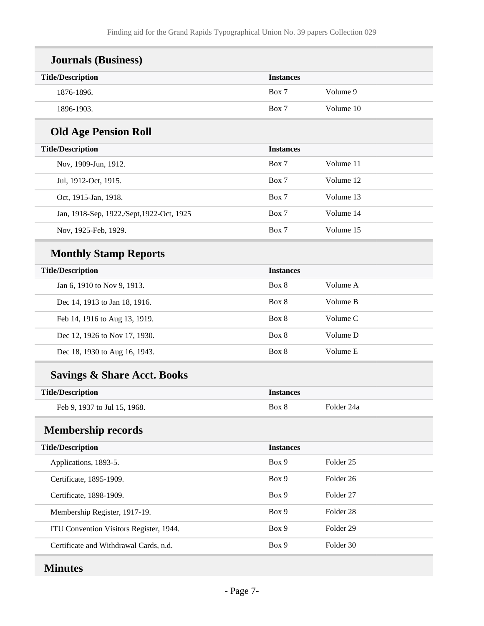| <b>Journals (Business)</b>                |                  |            |
|-------------------------------------------|------------------|------------|
| <b>Title/Description</b>                  | <b>Instances</b> |            |
| 1876-1896.                                | Box 7            | Volume 9   |
| 1896-1903.                                | Box 7            | Volume 10  |
| <b>Old Age Pension Roll</b>               |                  |            |
| <b>Title/Description</b>                  | <b>Instances</b> |            |
| Nov, 1909-Jun, 1912.                      | Box 7            | Volume 11  |
| Jul, 1912-Oct, 1915.                      | Box 7            | Volume 12  |
| Oct, 1915-Jan, 1918.                      | Box 7            | Volume 13  |
| Jan, 1918-Sep, 1922./Sept, 1922-Oct, 1925 | Box 7            | Volume 14  |
| Nov, 1925-Feb, 1929.                      | Box 7            | Volume 15  |
| <b>Monthly Stamp Reports</b>              |                  |            |
| <b>Title/Description</b>                  | <b>Instances</b> |            |
| Jan 6, 1910 to Nov 9, 1913.               | Box 8            | Volume A   |
| Dec 14, 1913 to Jan 18, 1916.             | Box 8            | Volume B   |
| Feb 14, 1916 to Aug 13, 1919.             | Box 8            | Volume C   |
| Dec 12, 1926 to Nov 17, 1930.             | Box 8            | Volume D   |
| Dec 18, 1930 to Aug 16, 1943.             | Box 8            | Volume E   |
| <b>Savings &amp; Share Acct. Books</b>    |                  |            |
| <b>Title/Description</b>                  | <b>Instances</b> |            |
| Feb 9, 1937 to Jul 15, 1968.              | Box 8            | Folder 24a |
| <b>Membership records</b>                 |                  |            |
| <b>Title/Description</b>                  | <b>Instances</b> |            |
| Applications, 1893-5.                     | Box 9            | Folder 25  |
| Certificate, 1895-1909.                   | Box 9            | Folder 26  |
| Certificate, 1898-1909.                   | Box 9            | Folder 27  |
| Membership Register, 1917-19.             | Box 9            | Folder 28  |
| ITU Convention Visitors Register, 1944.   | Box 9            | Folder 29  |
| Certificate and Withdrawal Cards, n.d.    | Box 9            | Folder 30  |
|                                           |                  |            |

# <span id="page-6-1"></span><span id="page-6-0"></span>**Minutes**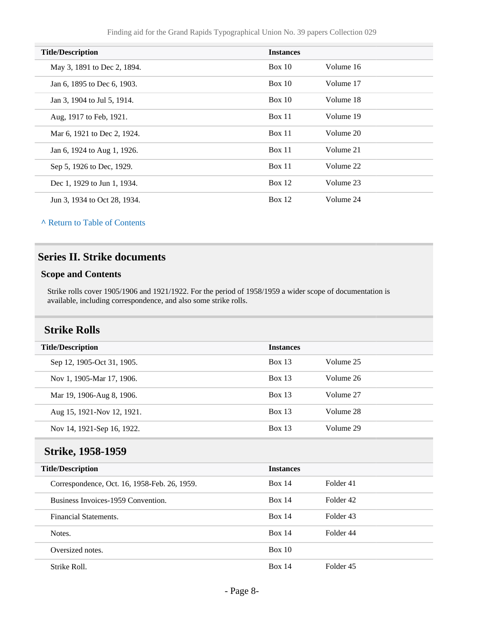| <b>Title/Description</b>     | <b>Instances</b> |           |
|------------------------------|------------------|-----------|
| May 3, 1891 to Dec 2, 1894.  | Box 10           | Volume 16 |
| Jan 6, 1895 to Dec 6, 1903.  | Box 10           | Volume 17 |
| Jan 3, 1904 to Jul 5, 1914.  | Box 10           | Volume 18 |
| Aug, 1917 to Feb, 1921.      | Box 11           | Volume 19 |
| Mar 6, 1921 to Dec 2, 1924.  | Box 11           | Volume 20 |
| Jan 6, 1924 to Aug 1, 1926.  | Box 11           | Volume 21 |
| Sep 5, 1926 to Dec, 1929.    | Box 11           | Volume 22 |
| Dec 1, 1929 to Jun 1, 1934.  | <b>Box 12</b>    | Volume 23 |
| Jun 3, 1934 to Oct 28, 1934. | Box 12           | Volume 24 |

**^** [Return to Table of Contents](#page-1-0)

## <span id="page-7-0"></span>**Series II. Strike documents**

#### **Scope and Contents**

Strike rolls cover 1905/1906 and 1921/1922. For the period of 1958/1959 a wider scope of documentation is available, including correspondence, and also some strike rolls.

## <span id="page-7-1"></span>**Strike Rolls**

|                            | <b>Instances</b> |           |
|----------------------------|------------------|-----------|
| <b>Title/Description</b>   |                  |           |
| Sep 12, 1905-Oct 31, 1905. | Box 13           | Volume 25 |
| Nov 1, 1905-Mar 17, 1906.  | Box 13           | Volume 26 |
| Mar 19, 1906-Aug 8, 1906.  | Box 13           | Volume 27 |
| Aug 15, 1921-Nov 12, 1921. | <b>Box 13</b>    | Volume 28 |
| Nov 14, 1921-Sep 16, 1922. | Box 13           | Volume 29 |

#### <span id="page-7-2"></span>**Strike, 1958-1959**

| <b>Title/Description</b>                     | <b>Instances</b> |           |  |
|----------------------------------------------|------------------|-----------|--|
| Correspondence, Oct. 16, 1958-Feb. 26, 1959. | Box 14           | Folder 41 |  |
| Business Invoices-1959 Convention.           | Box 14           | Folder 42 |  |
| Financial Statements.                        | Box 14           | Folder 43 |  |
| Notes.                                       | Box 14           | Folder 44 |  |
| Oversized notes.                             | Box 10           |           |  |
| Strike Roll.                                 | <b>Box 14</b>    | Folder 45 |  |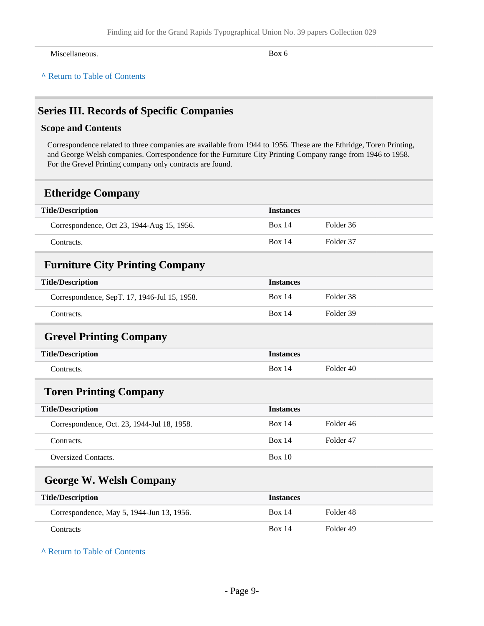Miscellaneous. Box 6

**^** [Return to Table of Contents](#page-1-0)

## <span id="page-8-0"></span>**Series III. Records of Specific Companies**

#### **Scope and Contents**

Correspondence related to three companies are available from 1944 to 1956. These are the Ethridge, Toren Printing, and George Welsh companies. Correspondence for the Furniture City Printing Company range from 1946 to 1958. For the Grevel Printing company only contracts are found.

## <span id="page-8-1"></span>**Etheridge Company**

<span id="page-8-3"></span><span id="page-8-2"></span>

| <b>Title/Description</b>                     | <b>Instances</b> |                      |
|----------------------------------------------|------------------|----------------------|
| Correspondence, Oct 23, 1944-Aug 15, 1956.   | <b>Box 14</b>    | Folder 36            |
| Contracts.                                   | <b>Box 14</b>    | Folder 37            |
| <b>Furniture City Printing Company</b>       |                  |                      |
| <b>Title/Description</b>                     | <b>Instances</b> |                      |
| Correspondence, SepT. 17, 1946-Jul 15, 1958. | Box $14$         | Folder <sub>38</sub> |
| Contracts.                                   | <b>Box 14</b>    | Folder 39            |
| <b>Grevel Printing Company</b>               |                  |                      |
| <b>Title/Description</b>                     | <b>Instances</b> |                      |
| Contracts.                                   | <b>Box 14</b>    | Folder 40            |
| <b>Toren Printing Company</b>                |                  |                      |
| <b>Title/Description</b>                     | <b>Instances</b> |                      |
| Correspondence, Oct. 23, 1944-Jul 18, 1958.  | <b>Box 14</b>    | Folder 46            |
| Contracts.                                   | Box 14           | Folder 47            |
| <b>Oversized Contacts.</b>                   | Box $10$         |                      |
| <b>George W. Welsh Company</b>               |                  |                      |

<span id="page-8-5"></span><span id="page-8-4"></span>

| <b>Title/Description</b>                  | <b>Instances</b> |           |  |
|-------------------------------------------|------------------|-----------|--|
| Correspondence, May 5, 1944-Jun 13, 1956. | <b>Box 14</b>    | Folder 48 |  |
| Contracts                                 | <b>Box 14</b>    | Folder 49 |  |

**^** [Return to Table of Contents](#page-1-0)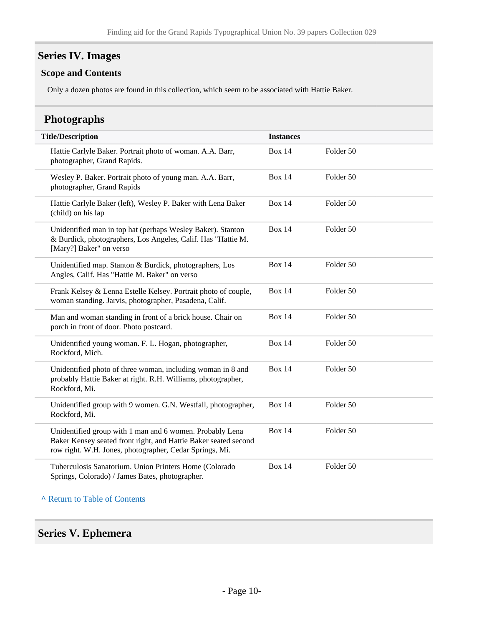## <span id="page-9-0"></span>**Series IV. Images**

#### **Scope and Contents**

Only a dozen photos are found in this collection, which seem to be associated with Hattie Baker.

## <span id="page-9-1"></span>**Photographs**

| <b>Title/Description</b>                                                                                                                                                               | <b>Instances</b> |           |
|----------------------------------------------------------------------------------------------------------------------------------------------------------------------------------------|------------------|-----------|
| Hattie Carlyle Baker. Portrait photo of woman. A.A. Barr,<br>photographer, Grand Rapids.                                                                                               | <b>Box 14</b>    | Folder 50 |
| Wesley P. Baker. Portrait photo of young man. A.A. Barr,<br>photographer, Grand Rapids                                                                                                 | <b>Box 14</b>    | Folder 50 |
| Hattie Carlyle Baker (left), Wesley P. Baker with Lena Baker<br>(child) on his lap                                                                                                     | <b>Box 14</b>    | Folder 50 |
| Unidentified man in top hat (perhaps Wesley Baker). Stanton<br>& Burdick, photographers, Los Angeles, Calif. Has "Hattie M.<br>[Mary?] Baker" on verso                                 | <b>Box 14</b>    | Folder 50 |
| Unidentified map. Stanton & Burdick, photographers, Los<br>Angles, Calif. Has "Hattie M. Baker" on verso                                                                               | <b>Box 14</b>    | Folder 50 |
| Frank Kelsey & Lenna Estelle Kelsey. Portrait photo of couple,<br>woman standing. Jarvis, photographer, Pasadena, Calif.                                                               | <b>Box 14</b>    | Folder 50 |
| Man and woman standing in front of a brick house. Chair on<br>porch in front of door. Photo postcard.                                                                                  | <b>Box 14</b>    | Folder 50 |
| Unidentified young woman. F. L. Hogan, photographer,<br>Rockford, Mich.                                                                                                                | <b>Box 14</b>    | Folder 50 |
| Unidentified photo of three woman, including woman in 8 and<br>probably Hattie Baker at right. R.H. Williams, photographer,<br>Rockford, Mi.                                           | <b>Box 14</b>    | Folder 50 |
| Unidentified group with 9 women. G.N. Westfall, photographer,<br>Rockford, Mi.                                                                                                         | <b>Box 14</b>    | Folder 50 |
| Unidentified group with 1 man and 6 women. Probably Lena<br>Baker Kensey seated front right, and Hattie Baker seated second<br>row right. W.H. Jones, photographer, Cedar Springs, Mi. | <b>Box 14</b>    | Folder 50 |
| Tuberculosis Sanatorium. Union Printers Home (Colorado<br>Springs, Colorado) / James Bates, photographer.                                                                              | <b>Box 14</b>    | Folder 50 |

#### **^** [Return to Table of Contents](#page-1-0)

### <span id="page-9-2"></span>**Series V. Ephemera**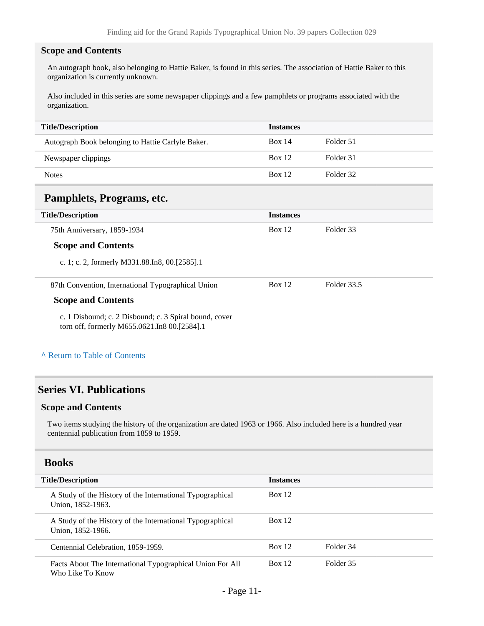#### **Scope and Contents**

An autograph book, also belonging to Hattie Baker, is found in this series. The association of Hattie Baker to this organization is currently unknown.

Also included in this series are some newspaper clippings and a few pamphlets or programs associated with the organization.

| <b>Title/Description</b>                          | <b>Instances</b> |           |
|---------------------------------------------------|------------------|-----------|
| Autograph Book belonging to Hattie Carlyle Baker. | <b>Box 14</b>    | Folder 51 |
| Newspaper clippings                               | <b>Box 12</b>    | Folder 31 |
| <b>Notes</b>                                      | Box 12           | Folder 32 |

## <span id="page-10-0"></span>**Pamphlets, Programs, etc.**

| <b>Title/Description</b>                                                                               | <b>Instances</b> |             |
|--------------------------------------------------------------------------------------------------------|------------------|-------------|
| 75th Anniversary, 1859-1934                                                                            | Box 12           | Folder 33   |
| <b>Scope and Contents</b>                                                                              |                  |             |
| c. 1; c. 2, formerly M331.88.In8, 00.[2585].1                                                          |                  |             |
| 87th Convention, International Typographical Union                                                     | Box 12           | Folder 33.5 |
| <b>Scope and Contents</b>                                                                              |                  |             |
| c. 1 Disbound; c. 2 Disbound; c. 3 Spiral bound, cover<br>torn off, formerly M655.0621.In8 00.[2584].1 |                  |             |

#### **^** [Return to Table of Contents](#page-1-0)

## <span id="page-10-1"></span>**Series VI. Publications**

#### **Scope and Contents**

Two items studying the history of the organization are dated 1963 or 1966. Also included here is a hundred year centennial publication from 1859 to 1959.

<span id="page-10-2"></span>

| <b>Title/Description</b>                                                       | <b>Instances</b> |           |  |
|--------------------------------------------------------------------------------|------------------|-----------|--|
| A Study of the History of the International Typographical<br>Union, 1852-1963. | Box 12           |           |  |
| A Study of the History of the International Typographical<br>Union, 1852-1966. | Box 12           |           |  |
| Centennial Celebration, 1859-1959.                                             | <b>Box 12</b>    | Folder 34 |  |
| Facts About The International Typographical Union For All<br>Who Like To Know  | Box 12           | Folder 35 |  |